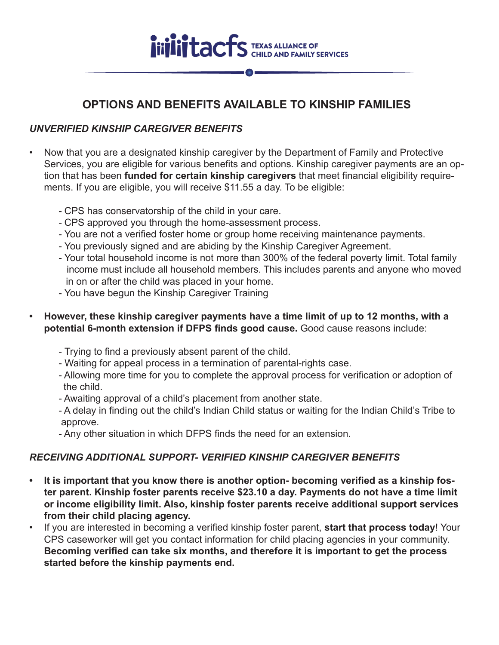

## **OPTIONS AND BENEFITS AVAILABLE TO KINSHIP FAMILIES**

## *UNVERIFIED KINSHIP CAREGIVER BENEFITS*

- Now that you are a designated kinship caregiver by the Department of Family and Protective Services, you are eligible for various benefits and options. Kinship caregiver payments are an option that has been **funded for certain kinship caregivers** that meet financial eligibility requirements. If you are eligible, you will receive \$11.55 a day. To be eligible:
	- CPS has conservatorship of the child in your care.
	- CPS approved you through the home-assessment process.
	- You are not a verified foster home or group home receiving maintenance payments.
	- You previously signed and are abiding by the Kinship Caregiver Agreement.
	- Your total household income is not more than 300% of the federal poverty limit. Total family income must include all household members. This includes parents and anyone who moved in on or after the child was placed in your home.
	- You have begun the Kinship Caregiver Training
- **However, these kinship caregiver payments have a time limit of up to 12 months, with a potential 6-month extension if DFPS finds good cause.** Good cause reasons include:
	- Trying to find a previously absent parent of the child.
	- Waiting for appeal process in a termination of parental-rights case.
	- Allowing more time for you to complete the approval process for verification or adoption of the child.
	- Awaiting approval of a child's placement from another state.
	- A delay in finding out the child's Indian Child status or waiting for the Indian Child's Tribe to approve.
	- Any other situation in which DFPS finds the need for an extension.

## *RECEIVING ADDITIONAL SUPPORT- VERIFIED KINSHIP CAREGIVER BENEFITS*

- **It is important that you know there is another option- becoming verified as a kinship foster parent. Kinship foster parents receive \$23.10 a day. Payments do not have a time limit or income eligibility limit. Also, kinship foster parents receive additional support services from their child placing agency.**
- If you are interested in becoming a verified kinship foster parent, **start that process today**! Your CPS caseworker will get you contact information for child placing agencies in your community. **Becoming verified can take six months, and therefore it is important to get the process started before the kinship payments end.**